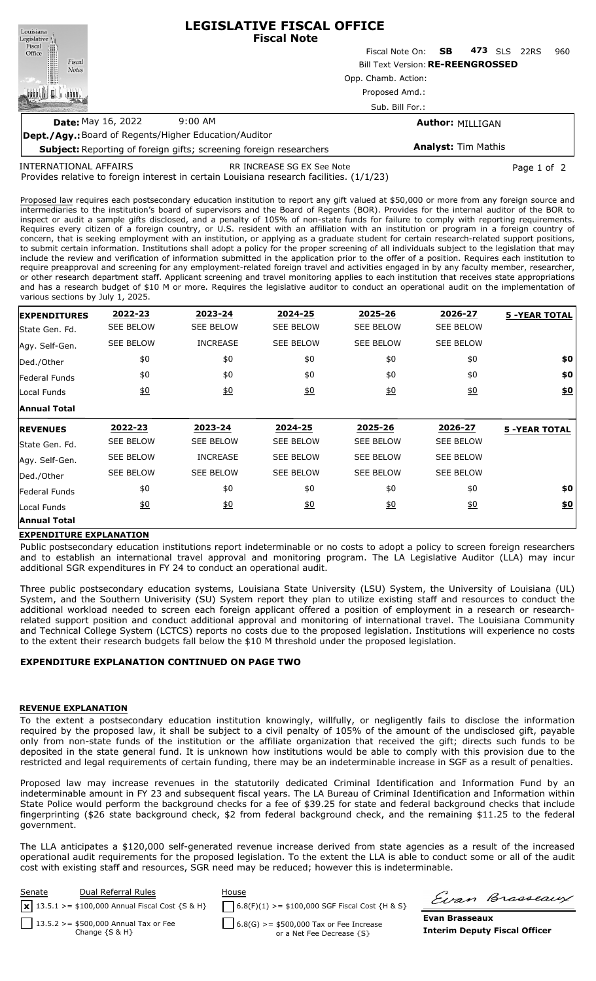| Louisiana                                                    | <b>LEGISLATIVE FISCAL OFFICE</b><br><b>Fiscal Note</b>                    |                           |                            |     |            |      |     |  |  |  |
|--------------------------------------------------------------|---------------------------------------------------------------------------|---------------------------|----------------------------|-----|------------|------|-----|--|--|--|
|                                                              |                                                                           | Fiscal Note On: <b>SB</b> |                            | 473 | <b>SLS</b> | 22RS | 960 |  |  |  |
| Legislative<br>Fiscal<br>Office<br>Fiscal<br><b>Notes</b>    | <b>Bill Text Version: RE-REENGROSSED</b>                                  |                           |                            |     |            |      |     |  |  |  |
|                                                              | Opp. Chamb. Action:                                                       |                           |                            |     |            |      |     |  |  |  |
|                                                              | Proposed Amd.:<br>Sub. Bill For.:                                         |                           |                            |     |            |      |     |  |  |  |
|                                                              |                                                                           |                           |                            |     |            |      |     |  |  |  |
| <b>Date: May 16, 2022</b>                                    | $9:00 \, \text{AM}$                                                       | <b>Author: MILLIGAN</b>   |                            |     |            |      |     |  |  |  |
| <b>Dept./Agy.: Board of Regents/Higher Education/Auditor</b> |                                                                           |                           |                            |     |            |      |     |  |  |  |
|                                                              | <b>Subject:</b> Reporting of foreign gifts: screening foreign researchers |                           | <b>Analyst: Tim Mathis</b> |     |            |      |     |  |  |  |

INTERNATIONAL AFFAIRS

RR INCREASE SG EX See Note **Page 1 of 2** and 2

Provides relative to foreign interest in certain Louisiana research facilities. (1/1/23)

**Subject:** Reporting of foreign gifts; screening foreign researchers

Proposed law requires each postsecondary education institution to report any gift valued at \$50,000 or more from any foreign source and intermediaries to the institution's board of supervisors and the Board of Regents (BOR). Provides for the internal auditor of the BOR to inspect or audit a sample gifts disclosed, and a penalty of 105% of non-state funds for failure to comply with reporting requirements. Requires every citizen of a foreign country, or U.S. resident with an affiliation with an institution or program in a foreign country of concern, that is seeking employment with an institution, or applying as a graduate student for certain research-related support positions, to submit certain information. Institutions shall adopt a policy for the proper screening of all individuals subject to the legislation that may include the review and verification of information submitted in the application prior to the offer of a position. Requires each institution to require preapproval and screening for any employment-related foreign travel and activities engaged in by any faculty member, researcher, or other research department staff. Applicant screening and travel monitoring applies to each institution that receives state appropriations and has a research budget of \$10 M or more. Requires the legislative auditor to conduct an operational audit on the implementation of various sections by July 1, 2025.

| <b>EXPENDITURES</b> | 2022-23          | 2023-24          | 2024-25          | 2025-26          | 2026-27           | <b>5 -YEAR TOTAL</b> |
|---------------------|------------------|------------------|------------------|------------------|-------------------|----------------------|
| State Gen. Fd.      | <b>SEE BELOW</b> | <b>SEE BELOW</b> | <b>SEE BELOW</b> | <b>SEE BELOW</b> | <b>SEE BELOW</b>  |                      |
| Agy. Self-Gen.      | <b>SEE BELOW</b> | <b>INCREASE</b>  | <b>SEE BELOW</b> | <b>SEE BELOW</b> | <b>SEE BELOW</b>  |                      |
| Ded./Other          | \$0              | \$0              | \$0              | \$0              | \$0               | \$0                  |
| Federal Funds       | \$0              | \$0              | \$0              | \$0              | \$0               | \$0                  |
| Local Funds         | $\underline{50}$ | 60               | 60               | 60               | $\underline{\$0}$ | \$0                  |
| Annual Total        |                  |                  |                  |                  |                   |                      |
| <b>REVENUES</b>     | 2022-23          | 2023-24          | 2024-25          | 2025-26          | 2026-27           | <b>5 -YEAR TOTAL</b> |
| State Gen. Fd.      | <b>SEE BELOW</b> | <b>SEE BELOW</b> | <b>SEE BELOW</b> | <b>SEE BELOW</b> | <b>SEE BELOW</b>  |                      |
| Agy. Self-Gen.      | <b>SEE BELOW</b> | <b>INCREASE</b>  | <b>SEE BELOW</b> | <b>SEE BELOW</b> | <b>SEE BELOW</b>  |                      |
| Ded./Other          | <b>SEE BELOW</b> | <b>SEE BELOW</b> | <b>SEE BELOW</b> | <b>SEE BELOW</b> | <b>SEE BELOW</b>  |                      |
| Federal Funds       | \$0              | \$0              | \$0              | \$0              | \$0               | \$0                  |
| Local Funds         | $\underline{50}$ | 60               | $\underline{50}$ | 60               | $\underline{50}$  | \$0                  |
| <b>Annual Total</b> |                  |                  |                  |                  |                   |                      |

## **EXPENDITURE EXPLANATION**

Public postsecondary education institutions report indeterminable or no costs to adopt a policy to screen foreign researchers and to establish an international travel approval and monitoring program. The LA Legislative Auditor (LLA) may incur additional SGR expenditures in FY 24 to conduct an operational audit.

Three public postsecondary education systems, Louisiana State University (LSU) System, the University of Louisiana (UL) System, and the Southern Univerisity (SU) System report they plan to utilize existing staff and resources to conduct the additional workload needed to screen each foreign applicant offered a position of employment in a research or researchrelated support position and conduct additional approval and monitoring of international travel. The Louisiana Community and Technical College System (LCTCS) reports no costs due to the proposed legislation. Institutions will experience no costs to the extent their research budgets fall below the \$10 M threshold under the proposed legislation.

## **EXPENDITURE EXPLANATION CONTINUED ON PAGE TWO**

## **REVENUE EXPLANATION**

To the extent a postsecondary education institution knowingly, willfully, or negligently fails to disclose the information required by the proposed law, it shall be subject to a civil penalty of 105% of the amount of the undisclosed gift, payable only from non-state funds of the institution or the affiliate organization that received the gift; directs such funds to be deposited in the state general fund. It is unknown how institutions would be able to comply with this provision due to the restricted and legal requirements of certain funding, there may be an indeterminable increase in SGF as a result of penalties.

Proposed law may increase revenues in the statutorily dedicated Criminal Identification and Information Fund by an indeterminable amount in FY 23 and subsequent fiscal years. The LA Bureau of Criminal Identification and Information within State Police would perform the background checks for a fee of \$39.25 for state and federal background checks that include fingerprinting (\$26 state background check, \$2 from federal background check, and the remaining \$11.25 to the federal government.

The LLA anticipates a \$120,000 self-generated revenue increase derived from state agencies as a result of the increased operational audit requirements for the proposed legislation. To the extent the LLA is able to conduct some or all of the audit cost with existing staff and resources, SGR need may be reduced; however this is indeterminable.



Firan Brasseaux

**Evan Brasseaux Interim Deputy Fiscal Officer**